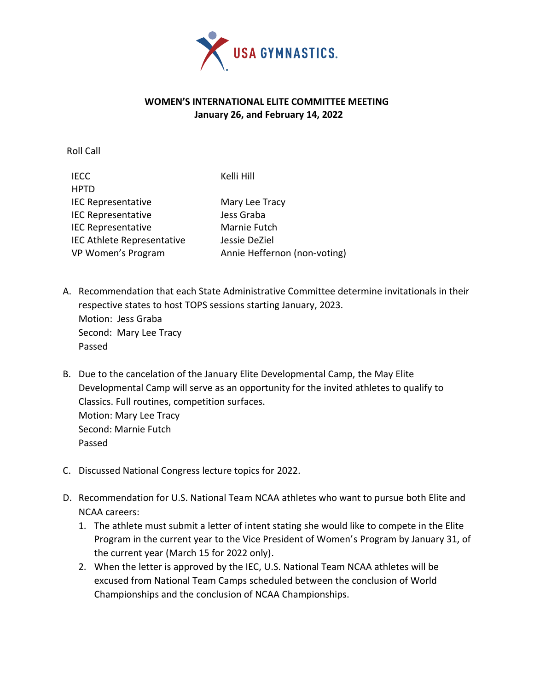

## **WOMEN'S INTERNATIONAL ELITE COMMITTEE MEETING January 26, and February 14, 2022**

Roll Call

IECC Kelli Hill

HPTD IEC Representative Mary Lee Tracy IEC Representative **Jess** Graba IEC Representative Marnie Futch IEC Athlete Representative Jessie DeZiel VP Women's Program Annie Heffernon (non-voting)

- A. Recommendation that each State Administrative Committee determine invitationals in their respective states to host TOPS sessions starting January, 2023. Motion: Jess Graba Second: Mary Lee Tracy Passed
- B. Due to the cancelation of the January Elite Developmental Camp, the May Elite Developmental Camp will serve as an opportunity for the invited athletes to qualify to Classics. Full routines, competition surfaces. Motion: Mary Lee Tracy Second: Marnie Futch Passed
- C. Discussed National Congress lecture topics for 2022.
- D. Recommendation for U.S. National Team NCAA athletes who want to pursue both Elite and NCAA careers:
	- 1. The athlete must submit a letter of intent stating she would like to compete in the Elite Program in the current year to the Vice President of Women's Program by January 31, of the current year (March 15 for 2022 only).
	- 2. When the letter is approved by the IEC, U.S. National Team NCAA athletes will be excused from National Team Camps scheduled between the conclusion of World Championships and the conclusion of NCAA Championships.